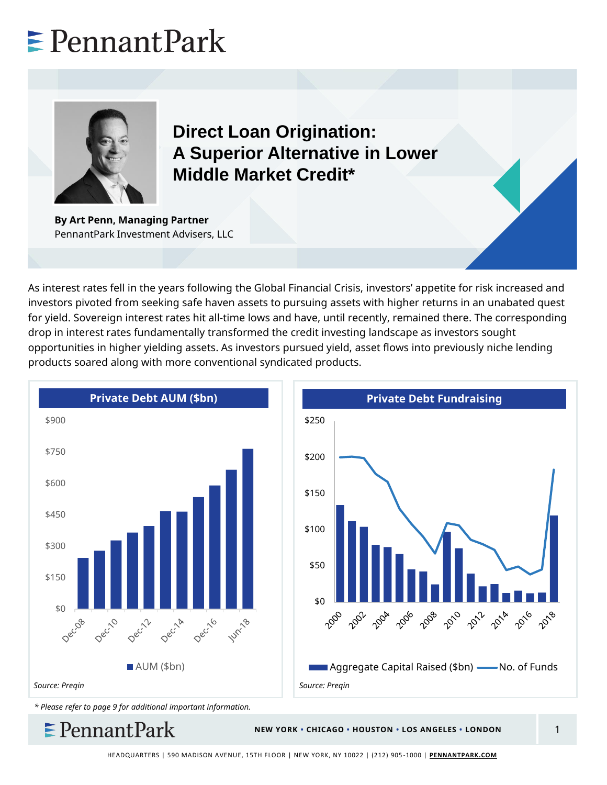# $\ge$  Pennant Park



**Direct Loan Origination: A Superior Alternative in Lower Middle Market Credit\***

**By Art Penn, Managing Partner** PennantPark Investment Advisers, LLC

As interest rates fell in the years following the Global Financial Crisis, investors' appetite for risk increased and investors pivoted from seeking safe haven assets to pursuing assets with higher returns in an unabated quest for yield. Sovereign interest rates hit all-time lows and have, until recently, remained there. The corresponding drop in interest rates fundamentally transformed the credit investing landscape as investors sought opportunities in higher yielding assets. As investors pursued yield, asset flows into previously niche lending products soared along with more conventional syndicated products.





*\* Please refer to page 9 for additional important information.*

 $\ge$  Pennant Park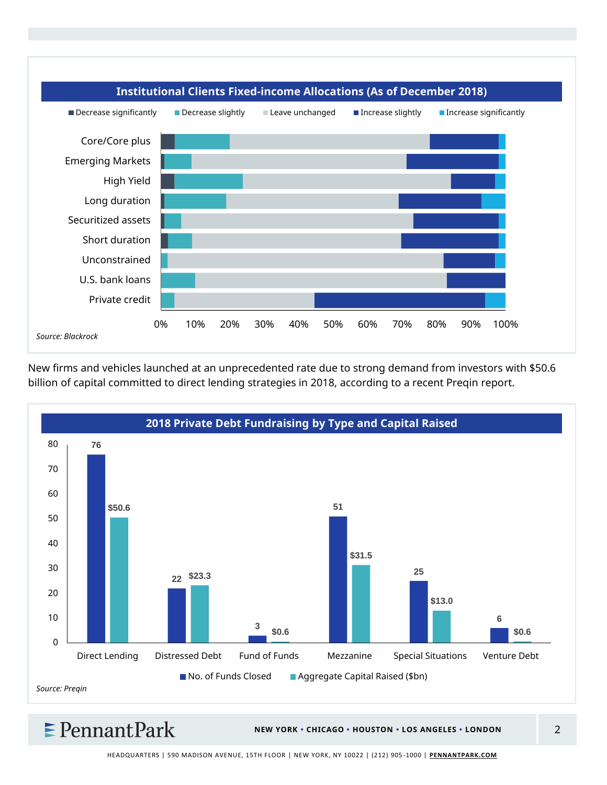

New firms and vehicles launched at an unprecedented rate due to strong demand from investors with \$50.6 billion of capital committed to direct lending strategies in 2018, according to a recent Preqin report.



 $\epsilon$  Pennant Park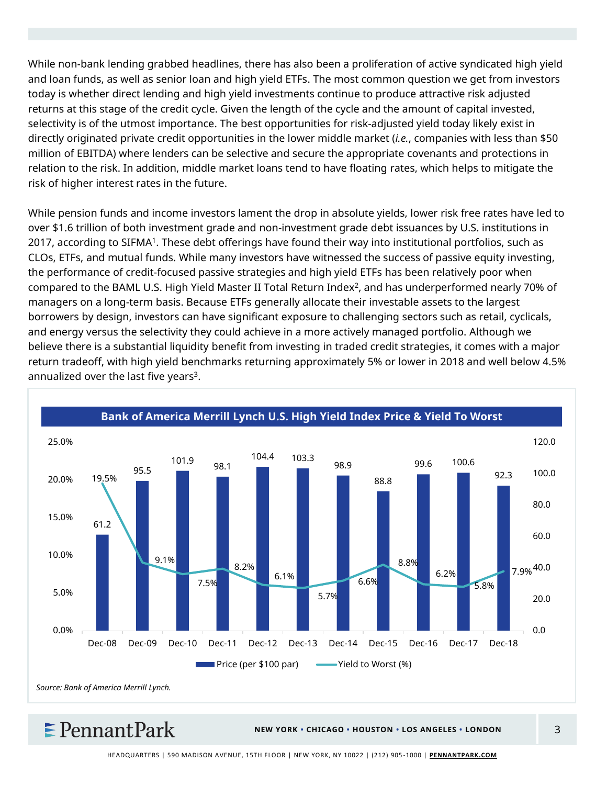While non-bank lending grabbed headlines, there has also been a proliferation of active syndicated high yield and loan funds, as well as senior loan and high yield ETFs. The most common question we get from investors today is whether direct lending and high yield investments continue to produce attractive risk adjusted returns at this stage of the credit cycle. Given the length of the cycle and the amount of capital invested, selectivity is of the utmost importance. The best opportunities for risk-adjusted yield today likely exist in directly originated private credit opportunities in the lower middle market (*i.e.*, companies with less than \$50 million of EBITDA) where lenders can be selective and secure the appropriate covenants and protections in relation to the risk. In addition, middle market loans tend to have floating rates, which helps to mitigate the risk of higher interest rates in the future.

While pension funds and income investors lament the drop in absolute yields, lower risk free rates have led to over \$1.6 trillion of both investment grade and non-investment grade debt issuances by U.S. institutions in 2017, according to SIFMA<sup>1</sup>. These debt offerings have found their way into institutional portfolios, such as CLOs, ETFs, and mutual funds. While many investors have witnessed the success of passive equity investing, the performance of credit-focused passive strategies and high yield ETFs has been relatively poor when compared to the BAML U.S. High Yield Master II Total Return Index<sup>2</sup> , and has underperformed nearly 70% of managers on a long-term basis. Because ETFs generally allocate their investable assets to the largest borrowers by design, investors can have significant exposure to challenging sectors such as retail, cyclicals, and energy versus the selectivity they could achieve in a more actively managed portfolio. Although we believe there is a substantial liquidity benefit from investing in traded credit strategies, it comes with a major return tradeoff, with high yield benchmarks returning approximately 5% or lower in 2018 and well below 4.5% annualized over the last five years<sup>3</sup>.



 $\epsilon$  Pennant Park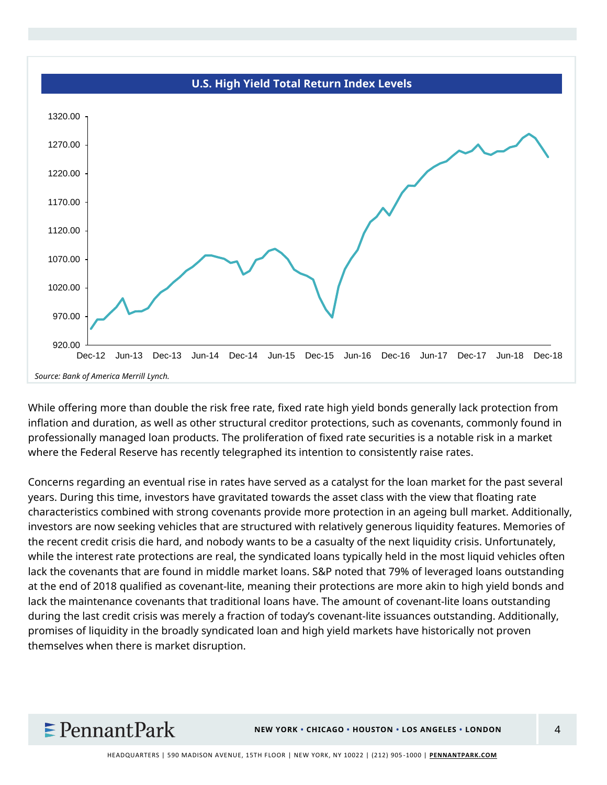

While offering more than double the risk free rate, fixed rate high yield bonds generally lack protection from inflation and duration, as well as other structural creditor protections, such as covenants, commonly found in professionally managed loan products. The proliferation of fixed rate securities is a notable risk in a market where the Federal Reserve has recently telegraphed its intention to consistently raise rates.

Concerns regarding an eventual rise in rates have served as a catalyst for the loan market for the past several years. During this time, investors have gravitated towards the asset class with the view that floating rate characteristics combined with strong covenants provide more protection in an ageing bull market. Additionally, investors are now seeking vehicles that are structured with relatively generous liquidity features. Memories of the recent credit crisis die hard, and nobody wants to be a casualty of the next liquidity crisis. Unfortunately, while the interest rate protections are real, the syndicated loans typically held in the most liquid vehicles often lack the covenants that are found in middle market loans. S&P noted that 79% of leveraged loans outstanding at the end of 2018 qualified as covenant-lite, meaning their protections are more akin to high yield bonds and lack the maintenance covenants that traditional loans have. The amount of covenant-lite loans outstanding during the last credit crisis was merely a fraction of today's covenant-lite issuances outstanding. Additionally, promises of liquidity in the broadly syndicated loan and high yield markets have historically not proven themselves when there is market disruption.

## $\epsilon$  Pennant Park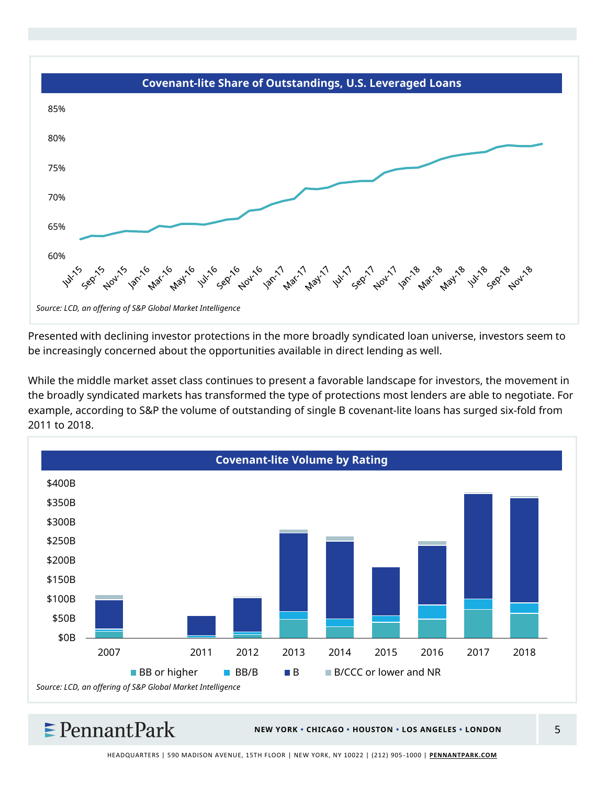

Presented with declining investor protections in the more broadly syndicated loan universe, investors seem to be increasingly concerned about the opportunities available in direct lending as well.

While the middle market asset class continues to present a favorable landscape for investors, the movement in the broadly syndicated markets has transformed the type of protections most lenders are able to negotiate. For example, according to S&P the volume of outstanding of single B covenant-lite loans has surged six-fold from 2011 to 2018.



### $\epsilon$  Pennant Park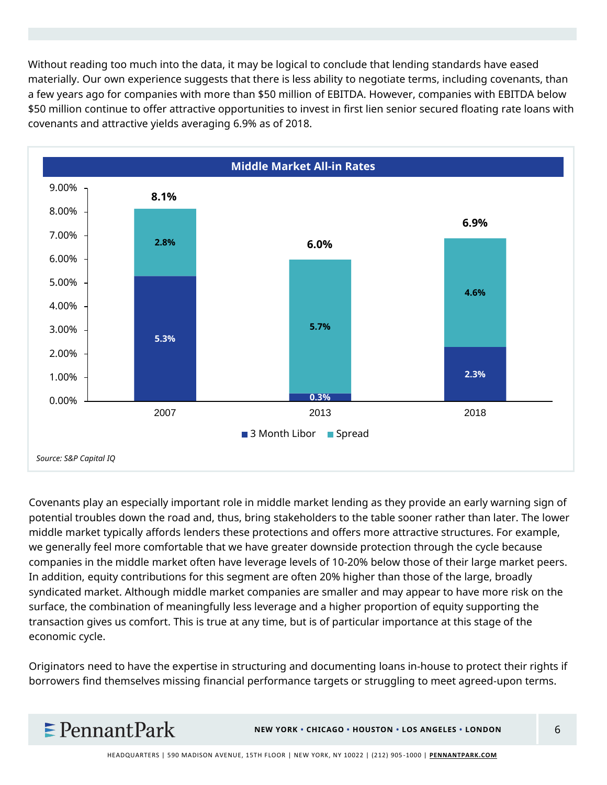Without reading too much into the data, it may be logical to conclude that lending standards have eased materially. Our own experience suggests that there is less ability to negotiate terms, including covenants, than a few years ago for companies with more than \$50 million of EBITDA. However, companies with EBITDA below \$50 million continue to offer attractive opportunities to invest in first lien senior secured floating rate loans with covenants and attractive yields averaging 6.9% as of 2018.



Covenants play an especially important role in middle market lending as they provide an early warning sign of potential troubles down the road and, thus, bring stakeholders to the table sooner rather than later. The lower middle market typically affords lenders these protections and offers more attractive structures. For example, we generally feel more comfortable that we have greater downside protection through the cycle because companies in the middle market often have leverage levels of 10-20% below those of their large market peers. In addition, equity contributions for this segment are often 20% higher than those of the large, broadly syndicated market. Although middle market companies are smaller and may appear to have more risk on the surface, the combination of meaningfully less leverage and a higher proportion of equity supporting the transaction gives us comfort. This is true at any time, but is of particular importance at this stage of the economic cycle.

Originators need to have the expertise in structuring and documenting loans in-house to protect their rights if borrowers find themselves missing financial performance targets or struggling to meet agreed-upon terms.

### $\epsilon$  Pennant Park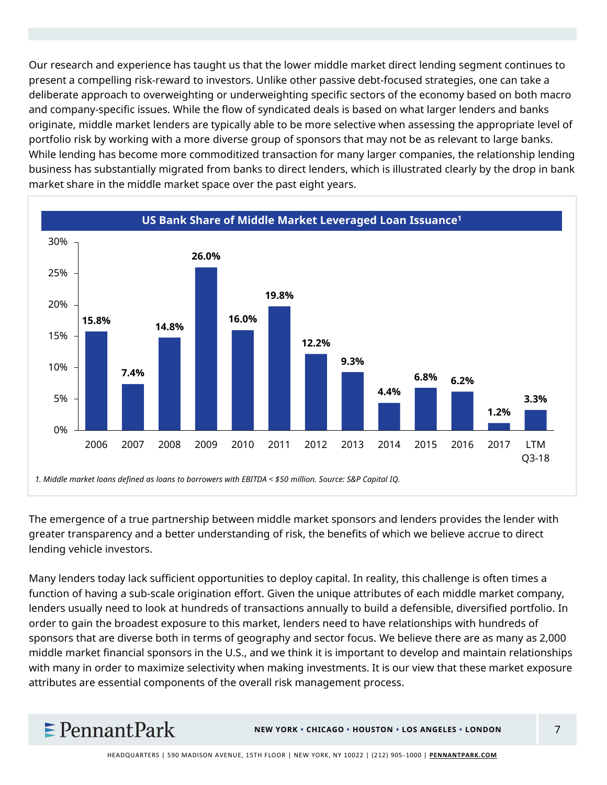Our research and experience has taught us that the lower middle market direct lending segment continues to present a compelling risk-reward to investors. Unlike other passive debt-focused strategies, one can take a deliberate approach to overweighting or underweighting specific sectors of the economy based on both macro and company-specific issues. While the flow of syndicated deals is based on what larger lenders and banks originate, middle market lenders are typically able to be more selective when assessing the appropriate level of portfolio risk by working with a more diverse group of sponsors that may not be as relevant to large banks. While lending has become more commoditized transaction for many larger companies, the relationship lending business has substantially migrated from banks to direct lenders, which is illustrated clearly by the drop in bank market share in the middle market space over the past eight years.



The emergence of a true partnership between middle market sponsors and lenders provides the lender with greater transparency and a better understanding of risk, the benefits of which we believe accrue to direct lending vehicle investors.

Many lenders today lack sufficient opportunities to deploy capital. In reality, this challenge is often times a function of having a sub-scale origination effort. Given the unique attributes of each middle market company, lenders usually need to look at hundreds of transactions annually to build a defensible, diversified portfolio. In order to gain the broadest exposure to this market, lenders need to have relationships with hundreds of sponsors that are diverse both in terms of geography and sector focus. We believe there are as many as 2,000 middle market financial sponsors in the U.S., and we think it is important to develop and maintain relationships with many in order to maximize selectivity when making investments. It is our view that these market exposure attributes are essential components of the overall risk management process.

### $\epsilon$  PennantPark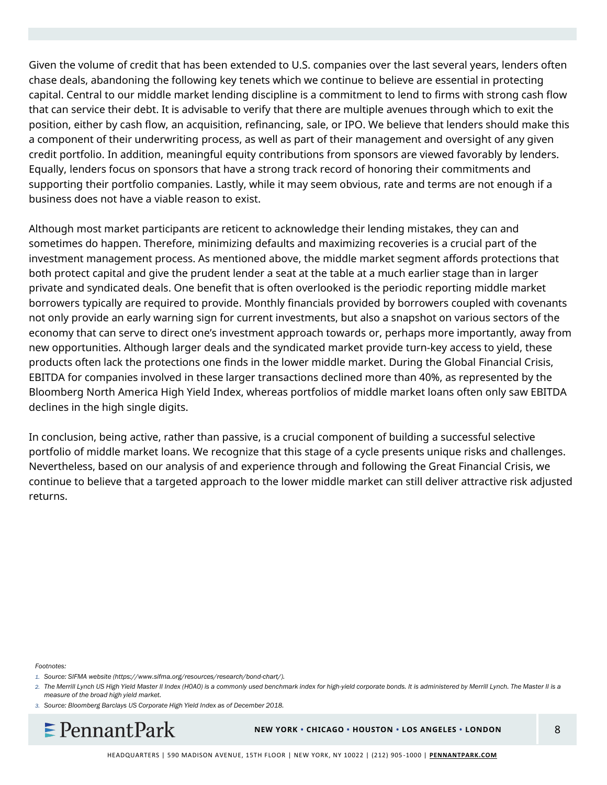Given the volume of credit that has been extended to U.S. companies over the last several years, lenders often chase deals, abandoning the following key tenets which we continue to believe are essential in protecting capital. Central to our middle market lending discipline is a commitment to lend to firms with strong cash flow that can service their debt. It is advisable to verify that there are multiple avenues through which to exit the position, either by cash flow, an acquisition, refinancing, sale, or IPO. We believe that lenders should make this a component of their underwriting process, as well as part of their management and oversight of any given credit portfolio. In addition, meaningful equity contributions from sponsors are viewed favorably by lenders. Equally, lenders focus on sponsors that have a strong track record of honoring their commitments and supporting their portfolio companies. Lastly, while it may seem obvious, rate and terms are not enough if a business does not have a viable reason to exist.

Although most market participants are reticent to acknowledge their lending mistakes, they can and sometimes do happen. Therefore, minimizing defaults and maximizing recoveries is a crucial part of the investment management process. As mentioned above, the middle market segment affords protections that both protect capital and give the prudent lender a seat at the table at a much earlier stage than in larger private and syndicated deals. One benefit that is often overlooked is the periodic reporting middle market borrowers typically are required to provide. Monthly financials provided by borrowers coupled with covenants not only provide an early warning sign for current investments, but also a snapshot on various sectors of the economy that can serve to direct one's investment approach towards or, perhaps more importantly, away from new opportunities. Although larger deals and the syndicated market provide turn-key access to yield, these products often lack the protections one finds in the lower middle market. During the Global Financial Crisis, EBITDA for companies involved in these larger transactions declined more than 40%, as represented by the Bloomberg North America High Yield Index, whereas portfolios of middle market loans often only saw EBITDA declines in the high single digits.

In conclusion, being active, rather than passive, is a crucial component of building a successful selective portfolio of middle market loans. We recognize that this stage of a cycle presents unique risks and challenges. Nevertheless, based on our analysis of and experience through and following the Great Financial Crisis, we continue to believe that a targeted approach to the lower middle market can still deliver attractive risk adjusted returns.

#### *Footnotes:*

*3. Source: Bloomberg Barclays US Corporate High Yield Index as of December 2018.*



*<sup>1.</sup> Source: SIFMA website (https://www.sifma.org/resources/research/bond-chart/).*

*<sup>2.</sup> The Merrill Lynch US High Yield Master II Index (H0A0) is a commonly used benchmark index for high-yield corporate bonds. It is administered by Merrill Lynch. The Master II is a measure of the broad high yield market.*